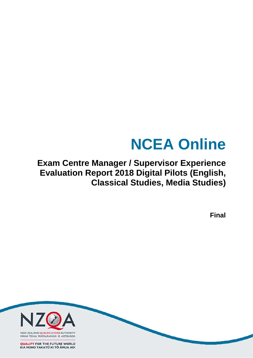# **NCEA Online**

# **Exam Centre Manager / Supervisor Experience Evaluation Report 2018 Digital Pilots (English, Classical Studies, Media Studies)**

**Final**

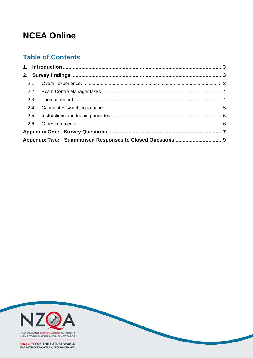# **NCEA Online**

# **Table of Contents**

| 2.2 |  |  |
|-----|--|--|
| 2.3 |  |  |
| 2.4 |  |  |
| 2.5 |  |  |
|     |  |  |
|     |  |  |
|     |  |  |

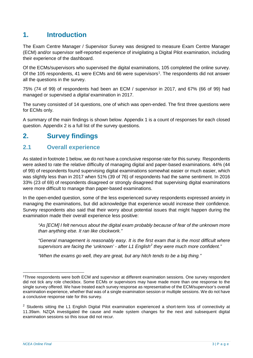# <span id="page-2-0"></span>**1. Introduction**

The Exam Centre Manager / Supervisor Survey was designed to measure Exam Centre Manager (ECM) and/or supervisor self-reported experience of invigilating a Digital Pilot examination, including their experience of the dashboard.

Of the ECMs/supervisors who supervised the digital examinations, 105 completed the online survey. Of the [1](#page-2-3)05 respondents, 41 were ECMs and 66 were supervisors<sup>1</sup>. The respondents did not answer all the questions in the survey.

75% (74 of 99) of respondents had been an ECM / supervisor in 2017, and 67% (66 of 99) had managed or supervised a *digital* examination in 2017.

The survey consisted of 14 questions, one of which was open-ended. The first three questions were for ECMs only.

A summary of the main findings is shown below. Appendix 1 is a count of responses for each closed question. Appendix 2 is a full list of the survey questions.

# <span id="page-2-1"></span>**2. Survey findings**

## <span id="page-2-2"></span>**2.1 Overall experience**

As stated in footnote 1 below, we do not have a conclusive response rate for this survey. Respondents were asked to rate the relative difficulty of managing digital and paper-based examinations. 44% (44 of 99) of respondents found supervising digital examinations somewhat easier or much easier, which was slightly less than in 2017 when 51% (39 of 76) of respondents had the same sentiment. In 2016 33% (23 of 69) of respondents disagreed or strongly disagreed that supervising digital examinations were more difficult to manage than paper-based examinations.

In the open-ended question, some of the less experienced survey respondents expressed anxiety in managing the examinations, but did acknowledge that experience would increase their confidence. Survey respondents also said that their worry about potential issues that might happen during the examination made their overall experience less positive:

*"As [ECM] I felt nervous about the digital exam probably because of fear of the unknown more than anything else. It ran like clockwork."*

*"General management is reasonably easy. It is the first exam that is the most difficult where supervisors are facing the 'unknown' - after L1 English[2](#page-2-4) they were much more confident."*

*"When the exams go well, they are great, but any hitch tends to be a big thing."*

<span id="page-2-3"></span> <sup>1</sup>Three respondents were both ECM and supervisor at different examination sessions. One survey respondent did not tick any role checkbox. Some ECMs or supervisors may have made more than one response to the single survey offered. We have treated each survey response as representative of the ECM/supervisor's overall examination experience, whether that was of a single examination session or multiple sessions. We do not have a conclusive response rate for this survey.

<span id="page-2-4"></span><sup>&</sup>lt;sup>2</sup> Students sitting the L1 English Digital Pilot examination experienced a short-term loss of connectivity at 11.39am. NZQA investigated the cause and made system changes for the next and subsequent digital examination sessions so this issue did not recur.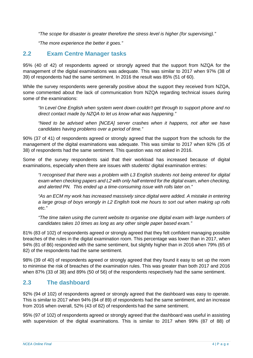*"The scope for disaster is greater therefore the stress level is higher (for supervising)."*

*"The more experience the better it goes."*

### <span id="page-3-0"></span>**2.2 Exam Centre Manager tasks**

95% (40 of 42) of respondents agreed or strongly agreed that the support from NZQA for the management of the digital examinations was adequate. This was similar to 2017 when 97% (38 of 39) of respondents had the same sentiment. In 2016 the result was 85% (51 of 60).

While the survey respondents were generally positive about the support they received from NZQA, some commented about the lack of communication from NZQA regarding technical issues during some of the examinations:

*"In Level One English when system went down couldn't get through to support phone and no direct contact made by NZQA to let us know what was happening."*

*"Need to be advised when [NCEA] server crashes when it happens, not after we have candidates having problems over a period of time."*

90% (37 of 41) of respondents agreed or strongly agreed that the support from the schools for the management of the digital examinations was adequate. This was similar to 2017 when 92% (35 of 38) of respondents had the same sentiment. This question was not asked in 2016.

Some of the survey respondents said that their workload has increased because of digital examinations, especially when there are issues with students' digital examination entries:

*"I recognised that there was a problem with L3 English students not being entered for digital exam when checking papers and L2 with only half entered for the digital exam, when checking, and alerted PN. This ended up a time-consuming issue with rolls later on."*

*"As an ECM my work has increased massively since digital were added. A mistake in entering a large group of boys wrongly in L2 English took me hours to sort out when making up rolls etc."*

*"The time taken using the current website to organise one digital exam with large numbers of candidates takes 10 times as long as any other single paper based exam."* 

81% (83 of 102) of respondents agreed or strongly agreed that they felt confident managing possible breaches of the rules in the digital examination room. This percentage was lower than in 2017, when 94% (81 of 86) responded with the same sentiment, but slightly higher than in 2016 when 79% (65 of 82) of the respondents had the same sentiment.

98% (39 of 40) of respondents agreed or strongly agreed that they found it easy to set up the room to minimise the risk of breaches of the examination rules. This was greater than both 2017 and 2016 when 87% (33 of 38) and 89% (50 of 56) of the respondents respectively had the same sentiment.

### <span id="page-3-1"></span>**2.3 The dashboard**

92% (94 of 102) of respondents agreed or strongly agreed that the dashboard was easy to operate. This is similar to 2017 when 94% (84 of 89) of respondents had the same sentiment, and an increase from 2016 when overall, 52% (43 of 82) of respondents had the same sentiment.

95% (97 of 102) of respondents agreed or strongly agreed that the dashboard was useful in assisting with supervision of the digital examinations. This is similar to 2017 when 99% (87 of 88) of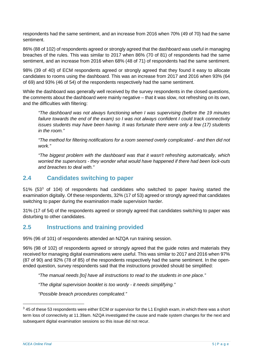respondents had the same sentiment, and an increase from 2016 when 70% (49 of 70) had the same sentiment.

86% (88 of 102) of respondents agreed or strongly agreed that the dashboard was useful in managing breaches of the rules. This was similar to 2017 when 86% (70 of 81) of respondents had the same sentiment, and an increase from 2016 when 68% (48 of 71) of respondents had the same sentiment.

98% (39 of 40) of ECM respondents agreed or strongly agreed that they found it easy to allocate candidates to rooms using the dashboard. This was an increase from 2017 and 2016 when 93% (64 of 69) and 93% (46 of 54) of the respondents respectively had the same sentiment.

While the dashboard was generally well received by the survey respondents in the closed questions, the comments about the dashboard were mainly negative – that it was slow, not refreshing on its own, and the difficulties with filtering:

*"The dashboard was not always functioning when I was supervising (before the 19 minutes failure towards the end of the exam) so I was not always confident I could track connectivity issues students may have been having. It was fortunate there were only a few (17) students in the room."*

*"The method for filtering notifications for a room seemed overly complicated - and then did not work."*

*"The biggest problem with the dashboard was that it wasn't refreshing automatically, which worried the supervisors - they wonder what would have happened if there had been lock-outs and breaches to deal with."*

### <span id="page-4-0"></span>**2.4 Candidates switching to paper**

51% (53[3](#page-4-2) of 104) of respondents had candidates who switched to paper having started the examination digitally. Of these respondents, 32% (17 of 53) agreed or strongly agreed that candidates switching to paper during the examination made supervision harder.

31% (17 of 54) of the respondents agreed or strongly agreed that candidates switching to paper was disturbing to other candidates.

# <span id="page-4-1"></span>**2.5 Instructions and training provided**

95% (96 of 101) of respondents attended an NZQA run training session.

96% (98 of 102) of respondents agreed or strongly agreed that the guide notes and materials they received for managing digital examinations were useful. This was similar to 2017 and 2016 when 97% (87 of 90) and 92% (78 of 85) of the respondents respectively had the same sentiment. In the openended question, survey respondents said that the instructions provided should be simplified:

*"The manual needs [to] have all instructions to read to the students in one place."*

*"The digital supervision booklet is too wordy - it needs simplifying."*

*"Possible breach procedures complicated."*

<span id="page-4-2"></span> $3$  45 of these 53 respondents were either ECM or supervisor for the L1 English exam, in which there was a short term loss of connectivity at 11.39am. NZQA investigated the cause and made system changes for the next and subsequent digital examination sessions so this issue did not recur.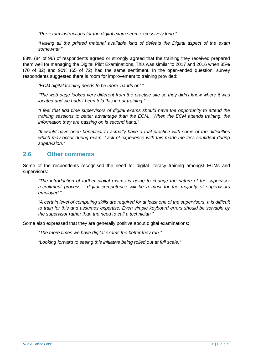*"Pre-exam instructions for the digital exam seem excessively long."*

*"Having all the printed material available kind of defeats the Digital aspect of the exam somewhat."*

88% (84 of 96) of respondents agreed or strongly agreed that the training they received prepared them well for managing the Digital Pilot Examinations. This was similar to 2017 and 2016 when 85% (70 of 82) and 90% (65 of 72) had the same sentiment. In the open-ended question, survey respondents suggested there is room for improvement to training provided:

*"ECM digital training needs to be more 'hands on'."*

*"The web page looked very different from the practise site so they didn't know where it was located and we hadn't been told this in our training."*

*"I feel that first time supervisors of digital exams should have the opportunity to attend the training sessions to better advantage than the ECM. When the ECM attends training, the information they are passing on is second hand."*

*"It would have been beneficial to actually have a trial practice with some of the difficulties*  which may occur during exam. Lack of experience with this made me less confident during *supervision."*

### <span id="page-5-0"></span>**2.6 Other comments**

Some of the respondents recognised the need for digital literacy training amongst ECMs and supervisors:

*"The introduction of further digital exams is going to change the nature of the supervisor recruitment process - digital competence will be a must for the majority of supervisors employed."*

*"A certain level of computing skills are required for at least one of the supervisors. It is difficult to train for this and assumes expertise. Even simple keyboard errors should be solvable by the supervisor rather than the need to call a technician."*

Some also expressed that they are generally positive about digital examinations:

*"The more times we have digital exams the better they run."*

*"Looking forward to seeing this initiative being rolled out at full scale."*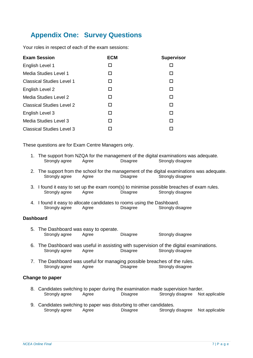# <span id="page-6-0"></span>**Appendix One: Survey Questions**

Your roles in respect of each of the exam sessions:

| <b>Exam Session</b>              | <b>ECM</b> | <b>Supervisor</b> |
|----------------------------------|------------|-------------------|
| English Level 1                  | П          |                   |
| Media Studies Level 1            | □          | п                 |
| <b>Classical Studies Level 1</b> | П          | п                 |
| English Level 2                  | □          | П                 |
| Media Studies Level 2            | П          | □                 |
| <b>Classical Studies Level 2</b> | П          | П                 |
| English Level 3                  | п          | п                 |
| Media Studies Level 3            | п          | П                 |
| <b>Classical Studies Level 3</b> |            |                   |

These questions are for Exam Centre Managers only.

- 1. The support from NZQA for the management of the digital examinations was adequate.<br>Strongly agree Agree Disagree Strongly disagree Strongly disagree
- 2. The support from the school for the management of the digital examinations was adequate.<br>Strongly agree Agree Disagree Strongly disagree Agree **Agree** Disagree **Contains Strongly disagree**
- 3. I found it easy to set up the exam room(s) to minimise possible breaches of exam rules.<br>Strongly agree Agree Disagree Strongly disagree Agree **Disagree** Strongly disagree
- 4. I found it easy to allocate candidates to rooms using the Dashboard.<br>Strongly agree Agree Disagree Strongly dis Strongly disagree

#### **Dashboard**

- 5. The Dashboard was easy to operate.<br>Strongly agree Agree Disagree **Strongly disagree**
- 6. The Dashboard was useful in assisting with supervision of the digital examinations. Strongly agree Agree Disagree Strongly disagree
- 7. The Dashboard was useful for managing possible breaches of the rules.<br>Strongly agree Agree Disagree Strongly disagree Strongly disagree

#### **Change to paper**

- 8. Candidates switching to paper during the examination made supervision harder.<br>Strongly agree Agree Disagree Strongly disagree Not Strongly disagree Not applicable
- 9. Candidates switching to paper was disturbing to other candidates. Strongly agree Agree Disagree Strongly disagree Not applicable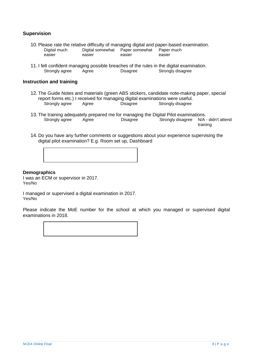#### **Supervision**

- 10. Please rate the relative difficulty of managing digital and paper-based examination. Digital much easier Digital somewhat easier Paper somewhat easier Paper much easier
- 11. I felt confident managing possible breaches of the rules in the digital examination.<br>Strongly agree Agree Disagree Strongly disagree Strongly disagree

#### **Instruction and training**

- 12. The Guide Notes and materials (green ABS stickers, candidate note-making paper, special report forms etc.) I received for managing digital examinations were useful. Strongly agree Agree Disagree Strongly disagree
- 13. The training adequately prepared me for managing the Digital Pilot examinations.<br>Strongly agree Agree Agree Disagree M/A -Strongly disagree N/A - didn't attend training
- 14. Do you have any further comments or suggestions about your experience supervising the digital pilot examination? E.g. Room set up, Dashboard

#### **Demographics**

I was an ECM or supervisor in 2017. Yes/No

I managed or supervised a digital examination in 2017. Yes/No

Please indicate the MoE number for the school at which you managed or supervised digital examinations in 2018.

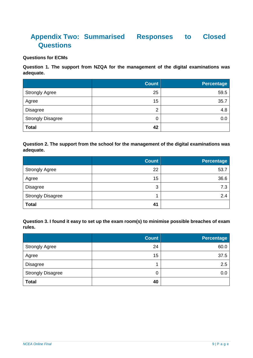# <span id="page-8-0"></span>**Appendix Two: Summarised Responses to Closed Questions**

#### **Questions for ECMs**

**Question 1. The support from NZQA for the management of the digital examinations was adequate.**

|                          | <b>Count</b> | <b>Percentage</b> |
|--------------------------|--------------|-------------------|
| <b>Strongly Agree</b>    | 25           | 59.5              |
| Agree                    | 15           | 35.7              |
| <b>Disagree</b>          | 2            | 4.8               |
| <b>Strongly Disagree</b> | 0            | 0.0               |
| <b>Total</b>             | 42           |                   |

#### **Question 2. The support from the school for the management of the digital examinations was adequate.**

|                          | <b>Count</b> | <b>Percentage</b> |
|--------------------------|--------------|-------------------|
| <b>Strongly Agree</b>    | 22           | 53.7              |
| Agree                    | 15           | 36.6              |
| <b>Disagree</b>          | 3            | 7.3               |
| <b>Strongly Disagree</b> |              | 2.4               |
| <b>Total</b>             | 41           |                   |

**Question 3. I found it easy to set up the exam room(s) to minimise possible breaches of exam rules.**

|                          | <b>Count</b> | <b>Percentage</b> |
|--------------------------|--------------|-------------------|
| <b>Strongly Agree</b>    | 24           | 60.0              |
| Agree                    | 15           | 37.5              |
| <b>Disagree</b>          |              | 2.5               |
| <b>Strongly Disagree</b> | 0            | 0.0               |
| <b>Total</b>             | 40           |                   |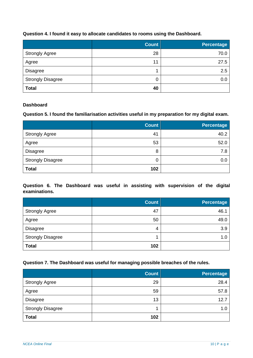#### **Question 4. I found it easy to allocate candidates to rooms using the Dashboard.**

|                          | <b>Count</b> | <b>Percentage</b> |
|--------------------------|--------------|-------------------|
| <b>Strongly Agree</b>    | 28           | 70.0              |
| Agree                    | 11           | 27.5              |
| <b>Disagree</b>          |              | 2.5               |
| <b>Strongly Disagree</b> | 0            | 0.0               |
| <b>Total</b>             | 40           |                   |

#### **Dashboard**

#### **Question 5. I found the familiarisation activities useful in my preparation for my digital exam.**

|                          | <b>Count</b> | <b>Percentage</b> |
|--------------------------|--------------|-------------------|
| <b>Strongly Agree</b>    | 41           | 40.2              |
| Agree                    | 53           | 52.0              |
| <b>Disagree</b>          | 8            | 7.8               |
| <b>Strongly Disagree</b> | 0            | 0.0               |
| <b>Total</b>             | 102          |                   |

**Question 6. The Dashboard was useful in assisting with supervision of the digital examinations.**

|                          | <b>Count</b> | Percentage |
|--------------------------|--------------|------------|
| <b>Strongly Agree</b>    | 47           | 46.1       |
| Agree                    | 50           | 49.0       |
| <b>Disagree</b>          | 4            | 3.9        |
| <b>Strongly Disagree</b> |              | 1.0        |
| <b>Total</b>             | 102          |            |

#### **Question 7. The Dashboard was useful for managing possible breaches of the rules.**

|                          | <b>Count</b> | <b>Percentage</b> |
|--------------------------|--------------|-------------------|
| <b>Strongly Agree</b>    | 29           | 28.4              |
| Agree                    | 59           | 57.8              |
| <b>Disagree</b>          | 13           | 12.7              |
| <b>Strongly Disagree</b> |              | 1.0               |
| <b>Total</b>             | 102          |                   |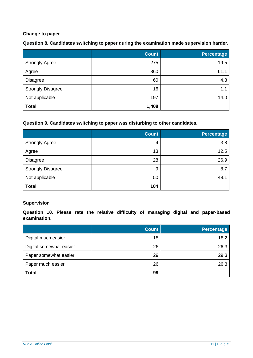#### **Change to paper**

**Question 8. Candidates switching to paper during the examination made supervision harder.**

|                          | <b>Count</b> | <b>Percentage</b> |
|--------------------------|--------------|-------------------|
| <b>Strongly Agree</b>    | 275          | 19.5              |
| Agree                    | 860          | 61.1              |
| <b>Disagree</b>          | 60           | 4.3               |
| <b>Strongly Disagree</b> | 16           | 1.1               |
| Not applicable           | 197          | 14.0              |
| <b>Total</b>             | 1,408        |                   |

#### **Question 9. Candidates switching to paper was disturbing to other candidates.**

|                          | <b>Count</b> | <b>Percentage</b> |
|--------------------------|--------------|-------------------|
| <b>Strongly Agree</b>    | 4            | 3.8               |
| Agree                    | 13           | 12.5              |
| <b>Disagree</b>          | 28           | 26.9              |
| <b>Strongly Disagree</b> | 9            | 8.7               |
| Not applicable           | 50           | 48.1              |
| <b>Total</b>             | 104          |                   |

#### **Supervision**

**Question 10. Please rate the relative difficulty of managing digital and paper-based examination.**

|                         | <b>Count</b> | <b>Percentage</b> |
|-------------------------|--------------|-------------------|
| Digital much easier     | 18           | 18.2              |
| Digital somewhat easier | 26           | 26.3              |
| Paper somewhat easier   | 29           | 29.3              |
| Paper much easier       | 26           | 26.3              |
| <b>Total</b>            | 99           |                   |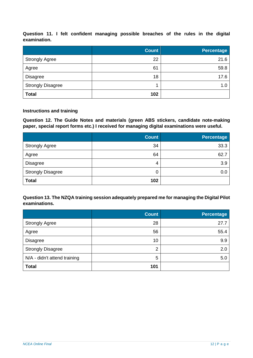**Question 11. I felt confident managing possible breaches of the rules in the digital examination.**

|                          | <b>Count</b> | <b>Percentage</b> |
|--------------------------|--------------|-------------------|
| <b>Strongly Agree</b>    | 22           | 21.6              |
| Agree                    | 61           | 59.8              |
| <b>Disagree</b>          | 18           | 17.6              |
| <b>Strongly Disagree</b> |              | 1.0               |
| <b>Total</b>             | 102          |                   |

#### **Instructions and training**

**Question 12. The Guide Notes and materials (green ABS stickers, candidate note-making paper, special report forms etc.) I received for managing digital examinations were useful.**

|                          | <b>Count</b> | <b>Percentage</b> |
|--------------------------|--------------|-------------------|
| <b>Strongly Agree</b>    | 34           | 33.3              |
| Agree                    | 64           | 62.7              |
| <b>Disagree</b>          | 4            | 3.9               |
| <b>Strongly Disagree</b> | 0            | 0.0               |
| <b>Total</b>             | 102          |                   |

**Question 13. The NZQA training session adequately prepared me for managing the Digital Pilot examinations.**

|                              | <b>Count</b>   | Percentage |
|------------------------------|----------------|------------|
| <b>Strongly Agree</b>        | 28             | 27.7       |
| Agree                        | 56             | 55.4       |
| <b>Disagree</b>              | 10             | 9.9        |
| <b>Strongly Disagree</b>     | $\overline{2}$ | 2.0        |
| N/A - didn't attend training | 5              | 5.0        |
| <b>Total</b>                 | 101            |            |